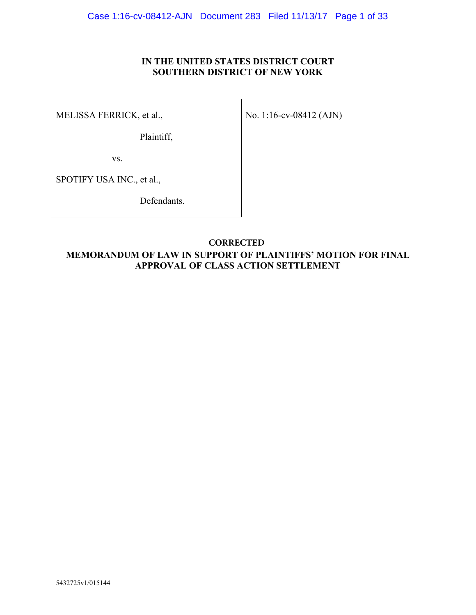## **IN THE UNITED STATES DISTRICT COURT SOUTHERN DISTRICT OF NEW YORK**

MELISSA FERRICK, et al.,

Plaintiff,

No. 1:16-cv-08412 (AJN)

vs.

SPOTIFY USA INC., et al.,

Defendants.

## **MEMORANDUM OF LAW IN SUPPORT OF PLAINTIFFS' MOTION FOR FINAL APPROVAL OF CLASS ACTION SETTLEMENT CORRECTED**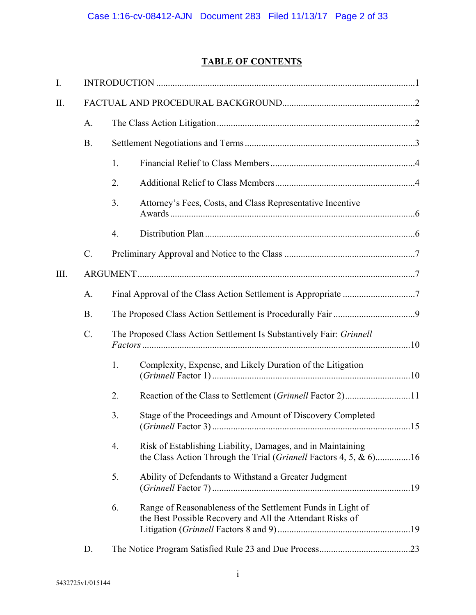# **TABLE OF CONTENTS**

| I.   |                 |                                                                      |                                                                                                                                  |  |
|------|-----------------|----------------------------------------------------------------------|----------------------------------------------------------------------------------------------------------------------------------|--|
| II.  |                 |                                                                      |                                                                                                                                  |  |
|      | A.              |                                                                      |                                                                                                                                  |  |
|      | <b>B.</b>       |                                                                      |                                                                                                                                  |  |
|      |                 | 1.                                                                   |                                                                                                                                  |  |
|      |                 | 2.                                                                   |                                                                                                                                  |  |
|      |                 | 3.                                                                   | Attorney's Fees, Costs, and Class Representative Incentive                                                                       |  |
|      |                 | 4.                                                                   |                                                                                                                                  |  |
|      | $\mathcal{C}$ . |                                                                      |                                                                                                                                  |  |
| III. |                 |                                                                      |                                                                                                                                  |  |
|      | A.              |                                                                      |                                                                                                                                  |  |
|      | <b>B.</b>       |                                                                      |                                                                                                                                  |  |
|      | $C$ .           | The Proposed Class Action Settlement Is Substantively Fair: Grinnell |                                                                                                                                  |  |
|      |                 | 1.                                                                   | Complexity, Expense, and Likely Duration of the Litigation                                                                       |  |
|      |                 | 2.                                                                   | Reaction of the Class to Settlement (Grinnell Factor 2)11                                                                        |  |
|      |                 | 3.                                                                   | Stage of the Proceedings and Amount of Discovery Completed                                                                       |  |
|      |                 | 4.                                                                   | Risk of Establishing Liability, Damages, and in Maintaining<br>the Class Action Through the Trial (Grinnell Factors 4, 5, & 6)16 |  |
|      |                 | 5.                                                                   | Ability of Defendants to Withstand a Greater Judgment                                                                            |  |
|      |                 | 6.                                                                   | Range of Reasonableness of the Settlement Funds in Light of<br>the Best Possible Recovery and All the Attendant Risks of         |  |
|      | D.              |                                                                      |                                                                                                                                  |  |
|      |                 |                                                                      |                                                                                                                                  |  |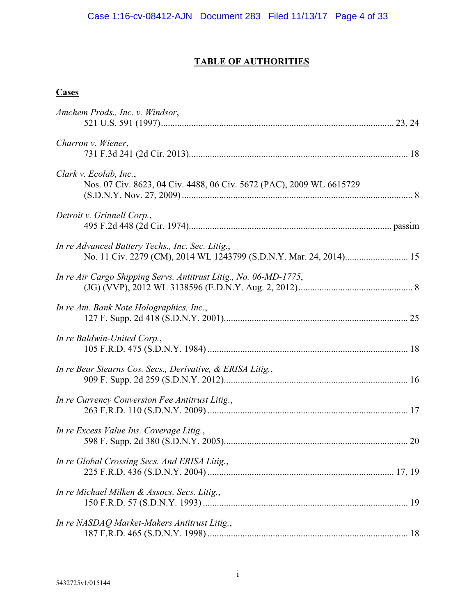## **TABLE OF AUTHORITIES**

## **Cases**

| Amchem Prods., Inc. v. Windsor,                                                                                        |  |
|------------------------------------------------------------------------------------------------------------------------|--|
| Charron v. Wiener,                                                                                                     |  |
| Clark v. Ecolab, Inc.,<br>Nos. 07 Civ. 8623, 04 Civ. 4488, 06 Civ. 5672 (PAC), 2009 WL 6615729                         |  |
| Detroit v. Grinnell Corp.,                                                                                             |  |
| In re Advanced Battery Techs., Inc. Sec. Litig.,<br>No. 11 Civ. 2279 (CM), 2014 WL 1243799 (S.D.N.Y. Mar. 24, 2014) 15 |  |
| In re Air Cargo Shipping Servs. Antitrust Litig., No. 06-MD-1775,                                                      |  |
| In re Am. Bank Note Holographics, Inc.,                                                                                |  |
| In re Baldwin-United Corp.,                                                                                            |  |
| In re Bear Stearns Cos. Secs., Derivative, & ERISA Litig.,                                                             |  |
| In re Currency Conversion Fee Antitrust Litig.,                                                                        |  |
| In re Excess Value Ins. Coverage Litig.,                                                                               |  |
| In re Global Crossing Secs. And ERISA Litig.,                                                                          |  |
| In re Michael Milken & Assocs. Secs. Litig.,                                                                           |  |
| In re NASDAQ Market-Makers Antitrust Litig.,                                                                           |  |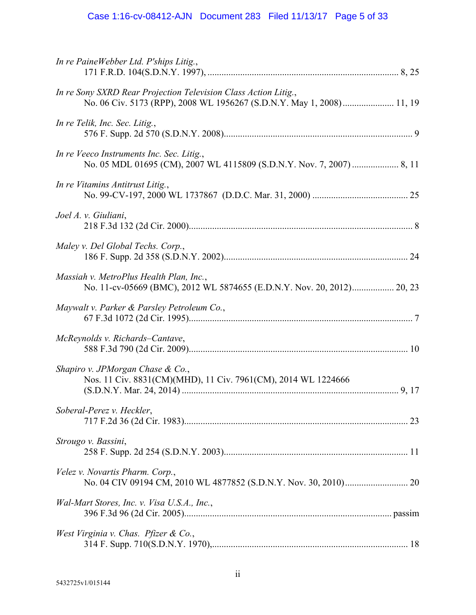| In re PaineWebber Ltd. P'ships Litig.,                                                                                                   |  |
|------------------------------------------------------------------------------------------------------------------------------------------|--|
| In re Sony SXRD Rear Projection Television Class Action Litig.,<br>No. 06 Civ. 5173 (RPP), 2008 WL 1956267 (S.D.N.Y. May 1, 2008) 11, 19 |  |
| In re Telik, Inc. Sec. Litig.,                                                                                                           |  |
| In re Veeco Instruments Inc. Sec. Litig.,                                                                                                |  |
| In re Vitamins Antitrust Litig.,                                                                                                         |  |
| Joel A. v. Giuliani,                                                                                                                     |  |
| Maley v. Del Global Techs. Corp.,                                                                                                        |  |
| Massiah v. MetroPlus Health Plan, Inc.,<br>No. 11-cv-05669 (BMC), 2012 WL 5874655 (E.D.N.Y. Nov. 20, 2012) 20, 23                        |  |
| Maywalt v. Parker & Parsley Petroleum Co.,                                                                                               |  |
| McReynolds v. Richards–Cantave,                                                                                                          |  |
| Shapiro v. JPMorgan Chase & Co.,<br>Nos. 11 Civ. 8831(CM)(MHD), 11 Civ. 7961(CM), 2014 WL 1224666                                        |  |
| Soberal-Perez v. Heckler,                                                                                                                |  |
| Strougo v. Bassini,                                                                                                                      |  |
| Velez v. Novartis Pharm. Corp.,                                                                                                          |  |
| Wal-Mart Stores, Inc. v. Visa U.S.A., Inc.,                                                                                              |  |
| West Virginia v. Chas. Pfizer & Co.,                                                                                                     |  |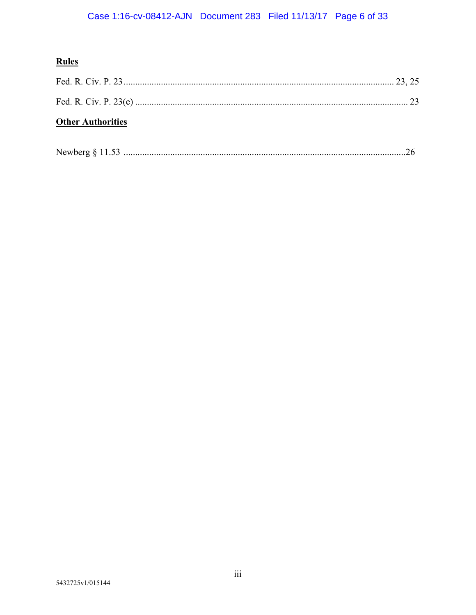# **Rules**

| <b>Other Authorities</b> |  |
|--------------------------|--|

| Newberg $§$ 11.5. |
|-------------------|
|-------------------|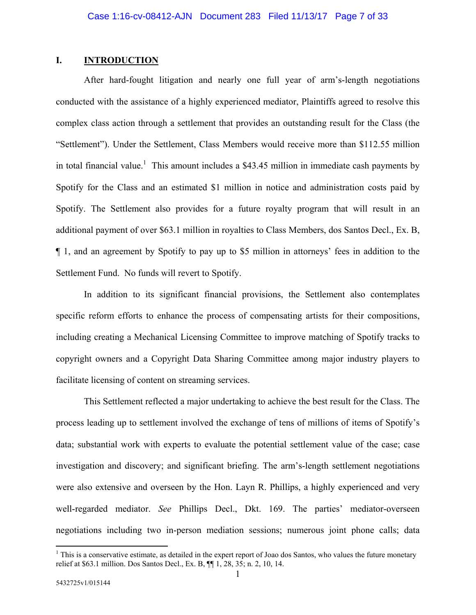## **I. INTRODUCTION**

After hard-fought litigation and nearly one full year of arm's-length negotiations conducted with the assistance of a highly experienced mediator, Plaintiffs agreed to resolve this complex class action through a settlement that provides an outstanding result for the Class (the "Settlement"). Under the Settlement, Class Members would receive more than \$112.55 million in total financial value.<sup>1</sup> This amount includes a \$43.45 million in immediate cash payments by Spotify for the Class and an estimated \$1 million in notice and administration costs paid by Spotify. The Settlement also provides for a future royalty program that will result in an additional payment of over \$63.1 million in royalties to Class Members, dos Santos Decl., Ex. B, ¶ 1, and an agreement by Spotify to pay up to \$5 million in attorneys' fees in addition to the Settlement Fund. No funds will revert to Spotify.

In addition to its significant financial provisions, the Settlement also contemplates specific reform efforts to enhance the process of compensating artists for their compositions, including creating a Mechanical Licensing Committee to improve matching of Spotify tracks to copyright owners and a Copyright Data Sharing Committee among major industry players to facilitate licensing of content on streaming services.

This Settlement reflected a major undertaking to achieve the best result for the Class. The process leading up to settlement involved the exchange of tens of millions of items of Spotify's data; substantial work with experts to evaluate the potential settlement value of the case; case investigation and discovery; and significant briefing. The arm's-length settlement negotiations were also extensive and overseen by the Hon. Layn R. Phillips, a highly experienced and very well-regarded mediator. *See* Phillips Decl., Dkt. 169. The parties' mediator-overseen negotiations including two in-person mediation sessions; numerous joint phone calls; data

 $\overline{a}$ 

 $<sup>1</sup>$  This is a conservative estimate, as detailed in the expert report of Joao dos Santos, who values the future monetary</sup> relief at \$63.1 million. Dos Santos Decl., Ex. B, ¶¶ 1, 28, 35; n. 2, 10, 14.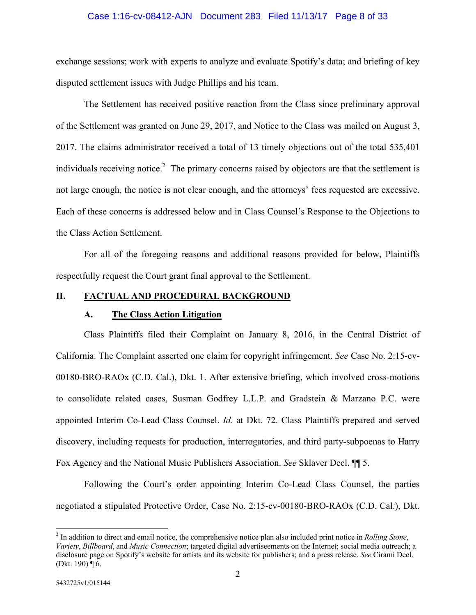### Case 1:16-cv-08412-AJN Document 283 Filed 11/13/17 Page 8 of 33

exchange sessions; work with experts to analyze and evaluate Spotify's data; and briefing of key disputed settlement issues with Judge Phillips and his team.

The Settlement has received positive reaction from the Class since preliminary approval of the Settlement was granted on June 29, 2017, and Notice to the Class was mailed on August 3, 2017. The claims administrator received a total of 13 timely objections out of the total 535,401 individuals receiving notice.<sup>2</sup> The primary concerns raised by objectors are that the settlement is not large enough, the notice is not clear enough, and the attorneys' fees requested are excessive. Each of these concerns is addressed below and in Class Counsel's Response to the Objections to the Class Action Settlement.

For all of the foregoing reasons and additional reasons provided for below, Plaintiffs respectfully request the Court grant final approval to the Settlement.

## **II. FACTUAL AND PROCEDURAL BACKGROUND**

#### **A. The Class Action Litigation**

Class Plaintiffs filed their Complaint on January 8, 2016, in the Central District of California. The Complaint asserted one claim for copyright infringement. *See* Case No. 2:15-cv-00180-BRO-RAOx (C.D. Cal.), Dkt. 1. After extensive briefing, which involved cross-motions to consolidate related cases, Susman Godfrey L.L.P. and Gradstein & Marzano P.C. were appointed Interim Co-Lead Class Counsel. *Id.* at Dkt. 72. Class Plaintiffs prepared and served discovery, including requests for production, interrogatories, and third party-subpoenas to Harry Fox Agency and the National Music Publishers Association. *See* Sklaver Decl. ¶¶ 5.

Following the Court's order appointing Interim Co-Lead Class Counsel, the parties negotiated a stipulated Protective Order, Case No. 2:15-cv-00180-BRO-RAOx (C.D. Cal.), Dkt.

 $\overline{a}$ 

<sup>2</sup> In addition to direct and email notice, the comprehensive notice plan also included print notice in *Rolling Stone*, *Variety*, *Billboard*, and *Music Connection*; targeted digital advertiseements on the Internet; social media outreach; a disclosure page on Spotify's website for artists and its website for publishers; and a press release. *See* Cirami Decl. (Dkt. 190) ¶ 6.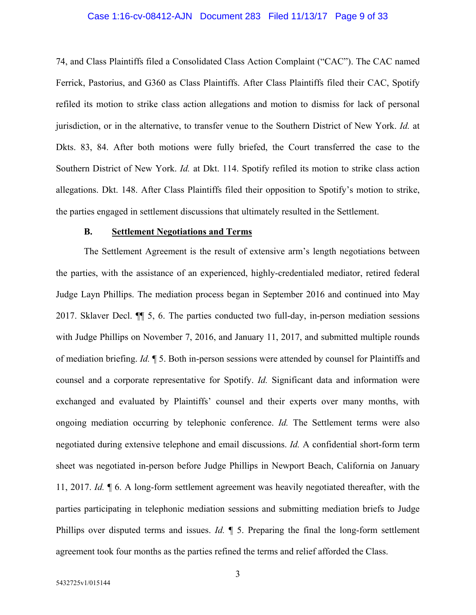### Case 1:16-cv-08412-AJN Document 283 Filed 11/13/17 Page 9 of 33

74, and Class Plaintiffs filed a Consolidated Class Action Complaint ("CAC"). The CAC named Ferrick, Pastorius, and G360 as Class Plaintiffs. After Class Plaintiffs filed their CAC, Spotify refiled its motion to strike class action allegations and motion to dismiss for lack of personal jurisdiction, or in the alternative, to transfer venue to the Southern District of New York. *Id.* at Dkts. 83, 84. After both motions were fully briefed, the Court transferred the case to the Southern District of New York. *Id.* at Dkt. 114. Spotify refiled its motion to strike class action allegations. Dkt. 148. After Class Plaintiffs filed their opposition to Spotify's motion to strike, the parties engaged in settlement discussions that ultimately resulted in the Settlement.

#### **B. Settlement Negotiations and Terms**

 The Settlement Agreement is the result of extensive arm's length negotiations between the parties, with the assistance of an experienced, highly-credentialed mediator, retired federal Judge Layn Phillips. The mediation process began in September 2016 and continued into May 2017. Sklaver Decl. ¶¶ 5, 6. The parties conducted two full-day, in-person mediation sessions with Judge Phillips on November 7, 2016, and January 11, 2017, and submitted multiple rounds of mediation briefing. *Id.* ¶ 5. Both in-person sessions were attended by counsel for Plaintiffs and counsel and a corporate representative for Spotify. *Id.* Significant data and information were exchanged and evaluated by Plaintiffs' counsel and their experts over many months, with ongoing mediation occurring by telephonic conference. *Id.* The Settlement terms were also negotiated during extensive telephone and email discussions. *Id.* A confidential short-form term sheet was negotiated in-person before Judge Phillips in Newport Beach, California on January 11, 2017. *Id.* ¶ 6. A long-form settlement agreement was heavily negotiated thereafter, with the parties participating in telephonic mediation sessions and submitting mediation briefs to Judge Phillips over disputed terms and issues. *Id.*  $\parallel$  5. Preparing the final the long-form settlement agreement took four months as the parties refined the terms and relief afforded the Class.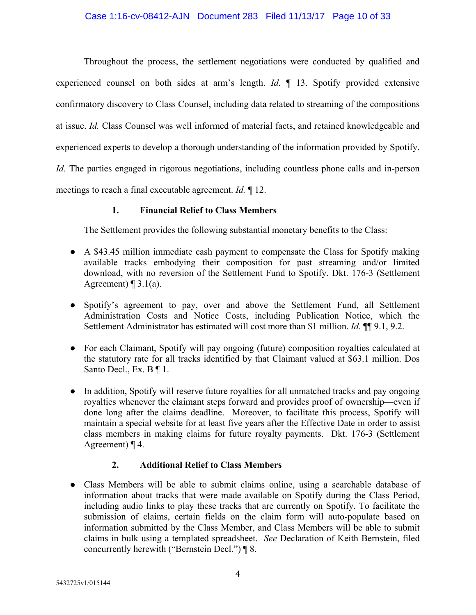Throughout the process, the settlement negotiations were conducted by qualified and experienced counsel on both sides at arm's length. *Id.* ¶ 13. Spotify provided extensive confirmatory discovery to Class Counsel, including data related to streaming of the compositions at issue. *Id.* Class Counsel was well informed of material facts, and retained knowledgeable and experienced experts to develop a thorough understanding of the information provided by Spotify. *Id.* The parties engaged in rigorous negotiations, including countless phone calls and in-person meetings to reach a final executable agreement. *Id.* ¶ 12.

## **1. Financial Relief to Class Members**

The Settlement provides the following substantial monetary benefits to the Class:

- A \$43.45 million immediate cash payment to compensate the Class for Spotify making available tracks embodying their composition for past streaming and/or limited download, with no reversion of the Settlement Fund to Spotify. Dkt. 176-3 (Settlement Agreement)  $\P$  3.1(a).
- Spotify's agreement to pay, over and above the Settlement Fund, all Settlement Administration Costs and Notice Costs, including Publication Notice, which the Settlement Administrator has estimated will cost more than \$1 million. *Id.* **¶** 9.1, 9.2.
- For each Claimant, Spotify will pay ongoing (future) composition royalties calculated at the statutory rate for all tracks identified by that Claimant valued at \$63.1 million. Dos Santo Decl., Ex. B ¶ 1.
- In addition, Spotify will reserve future royalties for all unmatched tracks and pay ongoing royalties whenever the claimant steps forward and provides proof of ownership—even if done long after the claims deadline. Moreover, to facilitate this process, Spotify will maintain a special website for at least five years after the Effective Date in order to assist class members in making claims for future royalty payments. Dkt. 176-3 (Settlement Agreement) ¶ 4.

## **2. Additional Relief to Class Members**

● Class Members will be able to submit claims online, using a searchable database of information about tracks that were made available on Spotify during the Class Period, including audio links to play these tracks that are currently on Spotify. To facilitate the submission of claims, certain fields on the claim form will auto-populate based on information submitted by the Class Member, and Class Members will be able to submit claims in bulk using a templated spreadsheet. *See* Declaration of Keith Bernstein, filed concurrently herewith ("Bernstein Decl.") ¶ 8.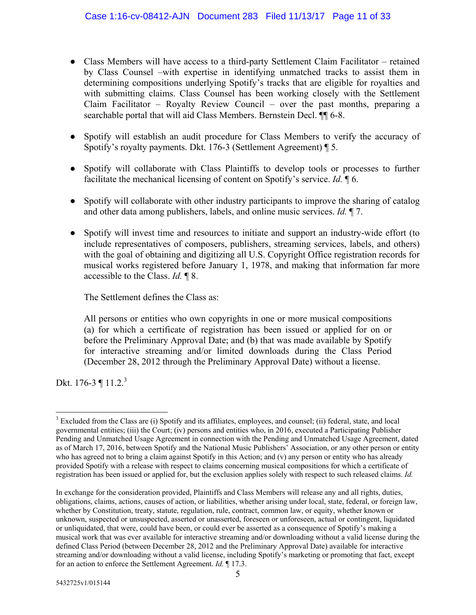- Class Members will have access to a third-party Settlement Claim Facilitator retained by Class Counsel –with expertise in identifying unmatched tracks to assist them in determining compositions underlying Spotify's tracks that are eligible for royalties and with submitting claims. Class Counsel has been working closely with the Settlement Claim Facilitator – Royalty Review Council – over the past months, preparing a searchable portal that will aid Class Members. Bernstein Decl. ¶¶ 6-8.
- Spotify will establish an audit procedure for Class Members to verify the accuracy of Spotify's royalty payments. Dkt. 176-3 (Settlement Agreement) ¶ 5.
- Spotify will collaborate with Class Plaintiffs to develop tools or processes to further facilitate the mechanical licensing of content on Spotify's service. *Id.* ¶ 6.
- Spotify will collaborate with other industry participants to improve the sharing of catalog and other data among publishers, labels, and online music services. *Id.* ¶ 7.
- Spotify will invest time and resources to initiate and support an industry-wide effort (to include representatives of composers, publishers, streaming services, labels, and others) with the goal of obtaining and digitizing all U.S. Copyright Office registration records for musical works registered before January 1, 1978, and making that information far more accessible to the Class. *Id.* ¶ 8.

The Settlement defines the Class as:

All persons or entities who own copyrights in one or more musical compositions (a) for which a certificate of registration has been issued or applied for on or before the Preliminary Approval Date; and (b) that was made available by Spotify for interactive streaming and/or limited downloads during the Class Period (December 28, 2012 through the Preliminary Approval Date) without a license.

Dkt. 176-3 ¶ 11.2.<sup>3</sup>

<sup>&</sup>lt;sup>3</sup> Excluded from the Class are (i) Spotify and its affiliates, employees, and counsel; (ii) federal, state, and local governmental entities; (iii) the Court; (iv) persons and entities who, in 2016, executed a Participating Publisher Pending and Unmatched Usage Agreement in connection with the Pending and Unmatched Usage Agreement, dated as of March 17, 2016, between Spotify and the National Music Publishers' Association, or any other person or entity who has agreed not to bring a claim against Spotify in this Action; and (v) any person or entity who has already provided Spotify with a release with respect to claims concerning musical compositions for which a certificate of registration has been issued or applied for, but the exclusion applies solely with respect to such released claims. *Id.* 

In exchange for the consideration provided, Plaintiffs and Class Members will release any and all rights, duties, obligations, claims, actions, causes of action, or liabilities, whether arising under local, state, federal, or foreign law, whether by Constitution, treaty, statute, regulation, rule, contract, common law, or equity, whether known or unknown, suspected or unsuspected, asserted or unasserted, foreseen or unforeseen, actual or contingent, liquidated or unliquidated, that were, could have been, or could ever be asserted as a consequence of Spotify's making a musical work that was ever available for interactive streaming and/or downloading without a valid license during the defined Class Period (between December 28, 2012 and the Preliminary Approval Date) available for interactive streaming and/or downloading without a valid license, including Spotify's marketing or promoting that fact, except for an action to enforce the Settlement Agreement. *Id.* ¶ 17.3.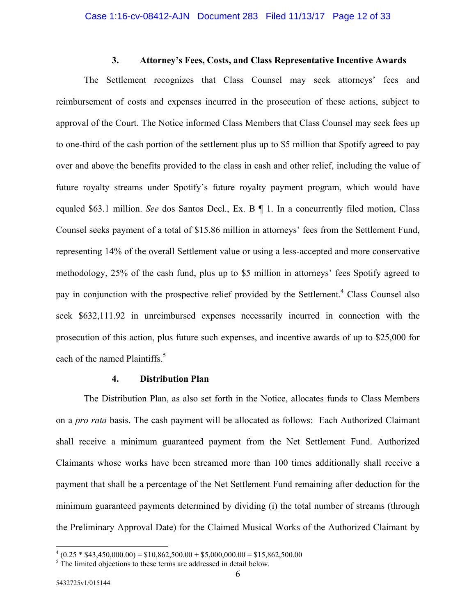### **3. Attorney's Fees, Costs, and Class Representative Incentive Awards**

The Settlement recognizes that Class Counsel may seek attorneys' fees and reimbursement of costs and expenses incurred in the prosecution of these actions, subject to approval of the Court. The Notice informed Class Members that Class Counsel may seek fees up to one-third of the cash portion of the settlement plus up to \$5 million that Spotify agreed to pay over and above the benefits provided to the class in cash and other relief, including the value of future royalty streams under Spotify's future royalty payment program, which would have equaled \$63.1 million. *See* dos Santos Decl., Ex. B ¶ 1. In a concurrently filed motion, Class Counsel seeks payment of a total of \$15.86 million in attorneys' fees from the Settlement Fund, representing 14% of the overall Settlement value or using a less-accepted and more conservative methodology, 25% of the cash fund, plus up to \$5 million in attorneys' fees Spotify agreed to pay in conjunction with the prospective relief provided by the Settlement.<sup>4</sup> Class Counsel also seek \$632,111.92 in unreimbursed expenses necessarily incurred in connection with the prosecution of this action, plus future such expenses, and incentive awards of up to \$25,000 for each of the named Plaintiffs.<sup>5</sup>

#### **4. Distribution Plan**

The Distribution Plan, as also set forth in the Notice, allocates funds to Class Members on a *pro rata* basis. The cash payment will be allocated as follows: Each Authorized Claimant shall receive a minimum guaranteed payment from the Net Settlement Fund. Authorized Claimants whose works have been streamed more than 100 times additionally shall receive a payment that shall be a percentage of the Net Settlement Fund remaining after deduction for the minimum guaranteed payments determined by dividing (i) the total number of streams (through the Preliminary Approval Date) for the Claimed Musical Works of the Authorized Claimant by

 $\frac{4}{(0.25 * $43,450,000.00) = $10,862,500.00 + $5,000,000.00 = $15,862,500.00}$ 

<sup>&</sup>lt;sup>5</sup> The limited objections to these terms are addressed in detail below.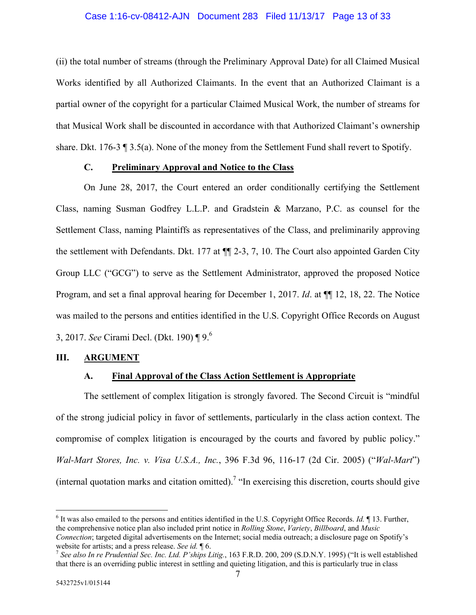### Case 1:16-cv-08412-AJN Document 283 Filed 11/13/17 Page 13 of 33

(ii) the total number of streams (through the Preliminary Approval Date) for all Claimed Musical Works identified by all Authorized Claimants. In the event that an Authorized Claimant is a partial owner of the copyright for a particular Claimed Musical Work, the number of streams for that Musical Work shall be discounted in accordance with that Authorized Claimant's ownership share. Dkt. 176-3 ¶ 3.5(a). None of the money from the Settlement Fund shall revert to Spotify.

## **C. Preliminary Approval and Notice to the Class**

On June 28, 2017, the Court entered an order conditionally certifying the Settlement Class, naming Susman Godfrey L.L.P. and Gradstein & Marzano, P.C. as counsel for the Settlement Class, naming Plaintiffs as representatives of the Class, and preliminarily approving the settlement with Defendants. Dkt. 177 at ¶¶ 2-3, 7, 10. The Court also appointed Garden City Group LLC ("GCG") to serve as the Settlement Administrator, approved the proposed Notice Program, and set a final approval hearing for December 1, 2017. *Id*. at ¶¶ 12, 18, 22. The Notice was mailed to the persons and entities identified in the U.S. Copyright Office Records on August 3, 2017. *See* Cirami Decl. (Dkt. 190) ¶ 9.6

### **III. ARGUMENT**

## **A. Final Approval of the Class Action Settlement is Appropriate**

The settlement of complex litigation is strongly favored. The Second Circuit is "mindful of the strong judicial policy in favor of settlements, particularly in the class action context. The compromise of complex litigation is encouraged by the courts and favored by public policy." *Wal-Mart Stores, Inc. v. Visa U.S.A., Inc.*, 396 F.3d 96, 116-17 (2d Cir. 2005) ("*Wal-Mart*") (internal quotation marks and citation omitted).<sup>7</sup> "In exercising this discretion, courts should give

 $\overline{a}$ 

<sup>6</sup> It was also emailed to the persons and entities identified in the U.S. Copyright Office Records. *Id.* ¶ 13. Further, the comprehensive notice plan also included print notice in *Rolling Stone*, *Variety*, *Billboard*, and *Music Connection*; targeted digital advertisements on the Internet; social media outreach; a disclosure page on Spotify's website for artists; and a press release. *See id.*  $\P$  6.<br><sup>7</sup> *See also In re Prudential Sec. Inc. Ltd. P'ships Litig.*, 163 F.R.D. 200, 209 (S.D.N.Y. 1995) ("It is well established

that there is an overriding public interest in settling and quieting litigation, and this is particularly true in class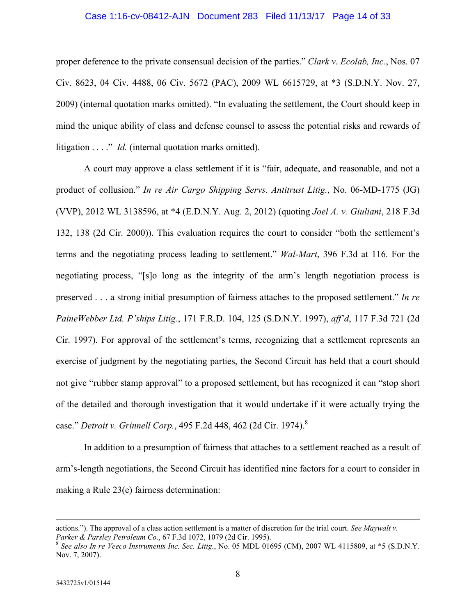### Case 1:16-cv-08412-AJN Document 283 Filed 11/13/17 Page 14 of 33

proper deference to the private consensual decision of the parties." *Clark v. Ecolab, Inc.*, Nos. 07 Civ. 8623, 04 Civ. 4488, 06 Civ. 5672 (PAC), 2009 WL 6615729, at \*3 (S.D.N.Y. Nov. 27, 2009) (internal quotation marks omitted). "In evaluating the settlement, the Court should keep in mind the unique ability of class and defense counsel to assess the potential risks and rewards of litigation . . . ." *Id.* (internal quotation marks omitted).

A court may approve a class settlement if it is "fair, adequate, and reasonable, and not a product of collusion." *In re Air Cargo Shipping Servs. Antitrust Litig.*, No. 06-MD-1775 (JG) (VVP), 2012 WL 3138596, at \*4 (E.D.N.Y. Aug. 2, 2012) (quoting *Joel A. v. Giuliani*, 218 F.3d 132, 138 (2d Cir. 2000)). This evaluation requires the court to consider "both the settlement's terms and the negotiating process leading to settlement." *Wal-Mart*, 396 F.3d at 116. For the negotiating process, "[s]o long as the integrity of the arm's length negotiation process is preserved . . . a strong initial presumption of fairness attaches to the proposed settlement." *In re PaineWebber Ltd. P'ships Litig.*, 171 F.R.D. 104, 125 (S.D.N.Y. 1997), *aff'd*, 117 F.3d 721 (2d Cir. 1997). For approval of the settlement's terms, recognizing that a settlement represents an exercise of judgment by the negotiating parties, the Second Circuit has held that a court should not give "rubber stamp approval" to a proposed settlement, but has recognized it can "stop short of the detailed and thorough investigation that it would undertake if it were actually trying the case." *Detroit v. Grinnell Corp.*, 495 F.2d 448, 462 (2d Cir. 1974).8

In addition to a presumption of fairness that attaches to a settlement reached as a result of arm's-length negotiations, the Second Circuit has identified nine factors for a court to consider in making a Rule 23(e) fairness determination:

actions."). The approval of a class action settlement is a matter of discretion for the trial court. *See Maywalt v. Parker & Parsley Petroleum Co.*, 67 F.3d 1072, 1079 (2d Cir. 1995).

<sup>8</sup> *See also In re Veeco Instruments Inc. Sec. Litig.*, No. 05 MDL 01695 (CM), 2007 WL 4115809, at \*5 (S.D.N.Y. Nov. 7, 2007).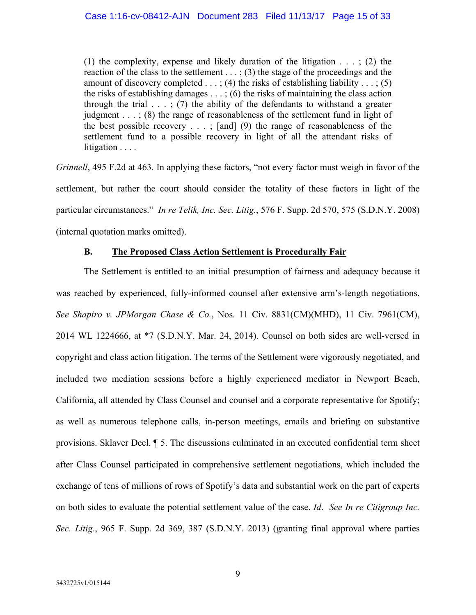(1) the complexity, expense and likely duration of the litigation  $\dots$ ; (2) the reaction of the class to the settlement  $\ldots$ ; (3) the stage of the proceedings and the amount of discovery completed  $\dots$ ; (4) the risks of establishing liability  $\dots$ ; (5) the risks of establishing damages . . . ; (6) the risks of maintaining the class action through the trial  $\ldots$ ; (7) the ability of the defendants to withstand a greater judgment . . . ; (8) the range of reasonableness of the settlement fund in light of the best possible recovery  $\ldots$ ; [and] (9) the range of reasonableness of the settlement fund to a possible recovery in light of all the attendant risks of litigation . . . .

*Grinnell*, 495 F.2d at 463. In applying these factors, "not every factor must weigh in favor of the settlement, but rather the court should consider the totality of these factors in light of the particular circumstances." *In re Telik, Inc. Sec. Litig.*, 576 F. Supp. 2d 570, 575 (S.D.N.Y. 2008) (internal quotation marks omitted).

## **B. The Proposed Class Action Settlement is Procedurally Fair**

The Settlement is entitled to an initial presumption of fairness and adequacy because it was reached by experienced, fully-informed counsel after extensive arm's-length negotiations. *See Shapiro v. JPMorgan Chase & Co.*, Nos. 11 Civ. 8831(CM)(MHD), 11 Civ. 7961(CM), 2014 WL 1224666, at \*7 (S.D.N.Y. Mar. 24, 2014). Counsel on both sides are well-versed in copyright and class action litigation. The terms of the Settlement were vigorously negotiated, and included two mediation sessions before a highly experienced mediator in Newport Beach, California, all attended by Class Counsel and counsel and a corporate representative for Spotify; as well as numerous telephone calls, in-person meetings, emails and briefing on substantive provisions. Sklaver Decl. ¶ 5. The discussions culminated in an executed confidential term sheet after Class Counsel participated in comprehensive settlement negotiations, which included the exchange of tens of millions of rows of Spotify's data and substantial work on the part of experts on both sides to evaluate the potential settlement value of the case. *Id*. *See In re Citigroup Inc. Sec. Litig.*, 965 F. Supp. 2d 369, 387 (S.D.N.Y. 2013) (granting final approval where parties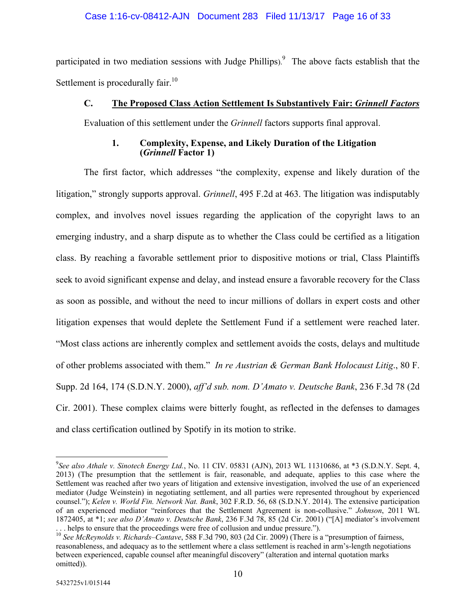### Case 1:16-cv-08412-AJN Document 283 Filed 11/13/17 Page 16 of 33

participated in two mediation sessions with Judge Phillips).<sup>9</sup> The above facts establish that the Settlement is procedurally fair.<sup>10</sup>

## **C. The Proposed Class Action Settlement Is Substantively Fair:** *Grinnell Factors*

Evaluation of this settlement under the *Grinnell* factors supports final approval.

### **1. Complexity, Expense, and Likely Duration of the Litigation (***Grinnell* **Factor 1)**

The first factor, which addresses "the complexity, expense and likely duration of the litigation," strongly supports approval. *Grinnell*, 495 F.2d at 463. The litigation was indisputably complex, and involves novel issues regarding the application of the copyright laws to an emerging industry, and a sharp dispute as to whether the Class could be certified as a litigation class. By reaching a favorable settlement prior to dispositive motions or trial, Class Plaintiffs seek to avoid significant expense and delay, and instead ensure a favorable recovery for the Class as soon as possible, and without the need to incur millions of dollars in expert costs and other litigation expenses that would deplete the Settlement Fund if a settlement were reached later. "Most class actions are inherently complex and settlement avoids the costs, delays and multitude of other problems associated with them." *In re Austrian & German Bank Holocaust Litig*., 80 F. Supp. 2d 164, 174 (S.D.N.Y. 2000), *aff'd sub. nom. D'Amato v. Deutsche Bank*, 236 F.3d 78 (2d Cir. 2001). These complex claims were bitterly fought, as reflected in the defenses to damages and class certification outlined by Spotify in its motion to strike.

 $\overline{a}$ 9 *See also Athale v. Sinotech Energy Ltd.*, No. 11 CIV. 05831 (AJN), 2013 WL 11310686, at \*3 (S.D.N.Y. Sept. 4, 2013) (The presumption that the settlement is fair, reasonable, and adequate, applies to this case where the Settlement was reached after two years of litigation and extensive investigation, involved the use of an experienced mediator (Judge Weinstein) in negotiating settlement, and all parties were represented throughout by experienced counsel."); *Kelen v. World Fin. Network Nat. Bank*, 302 F.R.D. 56, 68 (S.D.N.Y. 2014). The extensive participation of an experienced mediator "reinforces that the Settlement Agreement is non-collusive." *Johnson*, 2011 WL 1872405, at \*1; *see also D'Amato v. Deutsche Bank*, 236 F.3d 78, 85 (2d Cir. 2001) ("[A] mediator's involvement . . . helps to ensure that the proceedings were free of collusion and undue pressure.").

<sup>10</sup> *See McReynolds v. Richards–Cantave*, 588 F.3d 790, 803 (2d Cir. 2009) (There is a "presumption of fairness, reasonableness, and adequacy as to the settlement where a class settlement is reached in arm's-length negotiations between experienced, capable counsel after meaningful discovery" (alteration and internal quotation marks omitted)).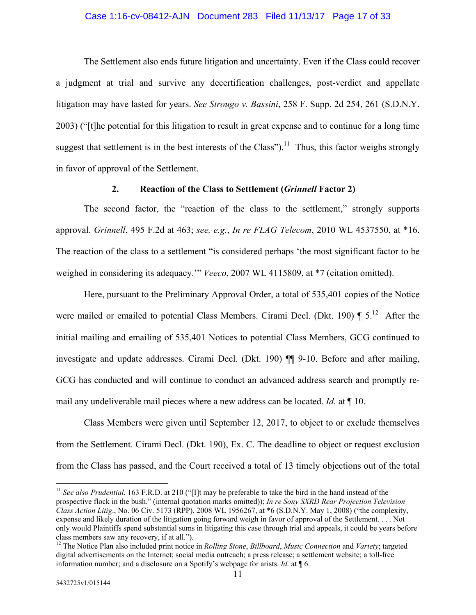### Case 1:16-cv-08412-AJN Document 283 Filed 11/13/17 Page 17 of 33

The Settlement also ends future litigation and uncertainty. Even if the Class could recover a judgment at trial and survive any decertification challenges, post-verdict and appellate litigation may have lasted for years. *See Strougo v. Bassini*, 258 F. Supp. 2d 254, 261 (S.D.N.Y. 2003) ("[t]he potential for this litigation to result in great expense and to continue for a long time suggest that settlement is in the best interests of the Class").<sup>11</sup> Thus, this factor weighs strongly in favor of approval of the Settlement.

### **2. Reaction of the Class to Settlement (***Grinnell* **Factor 2)**

The second factor, the "reaction of the class to the settlement," strongly supports approval. *Grinnell*, 495 F.2d at 463; *see, e.g.*, *In re FLAG Telecom*, 2010 WL 4537550, at \*16. The reaction of the class to a settlement "is considered perhaps 'the most significant factor to be weighed in considering its adequacy.'" *Veeco*, 2007 WL 4115809, at \*7 (citation omitted).

Here, pursuant to the Preliminary Approval Order, a total of 535,401 copies of the Notice were mailed or emailed to potential Class Members. Cirami Decl. (Dkt. 190)  $\P 5$ .<sup>12</sup> After the initial mailing and emailing of 535,401 Notices to potential Class Members, GCG continued to investigate and update addresses. Cirami Decl. (Dkt. 190) ¶¶ 9-10. Before and after mailing, GCG has conducted and will continue to conduct an advanced address search and promptly remail any undeliverable mail pieces where a new address can be located. *Id.* at ¶ 10.

Class Members were given until September 12, 2017, to object to or exclude themselves from the Settlement. Cirami Decl. (Dkt. 190), Ex. C. The deadline to object or request exclusion from the Class has passed, and the Court received a total of 13 timely objections out of the total

<u>.</u>

<sup>&</sup>lt;sup>11</sup> See also Prudential, 163 F.R.D. at 210 ("[I]t may be preferable to take the bird in the hand instead of the prospective flock in the bush." (internal quotation marks omitted)); *In re Sony SXRD Rear Projection Television Class Action Litig*., No. 06 Civ. 5173 (RPP), 2008 WL 1956267, at \*6 (S.D.N.Y. May 1, 2008) ("the complexity, expense and likely duration of the litigation going forward weigh in favor of approval of the Settlement. . . . Not only would Plaintiffs spend substantial sums in litigating this case through trial and appeals, it could be years before class members saw any recovery, if at all.").

<sup>12</sup> The Notice Plan also included print notice in *Rolling Stone*, *Billboard*, *Music Connection* and *Variety*; targeted digital advertisements on the Internet; social media outreach; a press release; a settlement website; a toll-free information number; and a disclosure on a Spotify's webpage for arists. *Id.* at ¶ 6.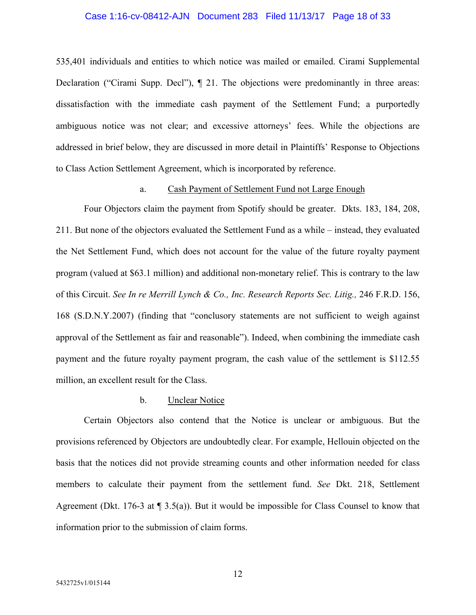## Case 1:16-cv-08412-AJN Document 283 Filed 11/13/17 Page 18 of 33

535,401 individuals and entities to which notice was mailed or emailed. Cirami Supplemental Declaration ("Cirami Supp. Decl"), ¶ 21. The objections were predominantly in three areas: dissatisfaction with the immediate cash payment of the Settlement Fund; a purportedly ambiguous notice was not clear; and excessive attorneys' fees. While the objections are addressed in brief below, they are discussed in more detail in Plaintiffs' Response to Objections to Class Action Settlement Agreement, which is incorporated by reference.

### a. Cash Payment of Settlement Fund not Large Enough

Four Objectors claim the payment from Spotify should be greater. Dkts. 183, 184, 208, 211. But none of the objectors evaluated the Settlement Fund as a while – instead, they evaluated the Net Settlement Fund, which does not account for the value of the future royalty payment program (valued at \$63.1 million) and additional non-monetary relief. This is contrary to the law of this Circuit. *See In re Merrill Lynch & Co., Inc. Research Reports Sec. Litig.,* 246 F.R.D. 156, 168 (S.D.N.Y.2007) (finding that "conclusory statements are not sufficient to weigh against approval of the Settlement as fair and reasonable"). Indeed, when combining the immediate cash payment and the future royalty payment program, the cash value of the settlement is \$112.55 million, an excellent result for the Class.

### b. Unclear Notice

Certain Objectors also contend that the Notice is unclear or ambiguous. But the provisions referenced by Objectors are undoubtedly clear. For example, Hellouin objected on the basis that the notices did not provide streaming counts and other information needed for class members to calculate their payment from the settlement fund. *See* Dkt. 218, Settlement Agreement (Dkt. 176-3 at  $\P$  3.5(a)). But it would be impossible for Class Counsel to know that information prior to the submission of claim forms.

12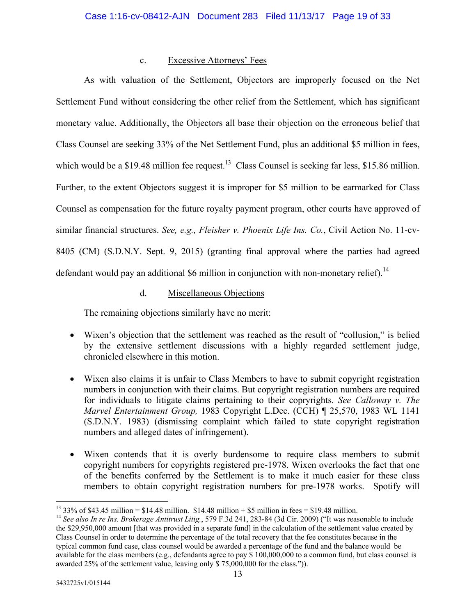## c. Excessive Attorneys' Fees

As with valuation of the Settlement, Objectors are improperly focused on the Net Settlement Fund without considering the other relief from the Settlement, which has significant monetary value. Additionally, the Objectors all base their objection on the erroneous belief that Class Counsel are seeking 33% of the Net Settlement Fund, plus an additional \$5 million in fees, which would be a \$19.48 million fee request.<sup>13</sup> Class Counsel is seeking far less, \$15.86 million. Further, to the extent Objectors suggest it is improper for \$5 million to be earmarked for Class Counsel as compensation for the future royalty payment program, other courts have approved of similar financial structures. *See, e.g., Fleisher v. Phoenix Life Ins. Co.*, Civil Action No. 11-cv-8405 (CM) (S.D.N.Y. Sept. 9, 2015) (granting final approval where the parties had agreed defendant would pay an additional  $$6$  million in conjunction with non-monetary relief).<sup>14</sup>

d. Miscellaneous Objections

The remaining objections similarly have no merit:

- Wixen's objection that the settlement was reached as the result of "collusion," is belied by the extensive settlement discussions with a highly regarded settlement judge, chronicled elsewhere in this motion.
- Wixen also claims it is unfair to Class Members to have to submit copyright registration numbers in conjunction with their claims. But copyright registration numbers are required for individuals to litigate claims pertaining to their copryrights. *See Calloway v. The Marvel Entertainment Group,* 1983 Copyright L.Dec. (CCH) ¶ 25,570, 1983 WL 1141 (S.D.N.Y. 1983) (dismissing complaint which failed to state copyright registration numbers and alleged dates of infringement).
- Wixen contends that it is overly burdensome to require class members to submit copyright numbers for copyrights registered pre-1978. Wixen overlooks the fact that one of the benefits conferred by the Settlement is to make it much easier for these class members to obtain copyright registration numbers for pre-1978 works. Spotify will

<sup>-</sup> $^{13}$  33% of \$43.45 million = \$14.48 million. \$14.48 million + \$5 million in fees = \$19.48 million.

<sup>&</sup>lt;sup>14</sup> See also In re Ins. Brokerage Antitrust Litig., 579 F.3d 241, 283-84 (3d Cir. 2009) ("It was reasonable to include the \$29,950,000 amount [that was provided in a separate fund] in the calculation of the settlement value created by Class Counsel in order to determine the percentage of the total recovery that the fee constitutes because in the typical common fund case, class counsel would be awarded a percentage of the fund and the balance would be available for the class members (e.g., defendants agree to pay \$ 100,000,000 to a common fund, but class counsel is awarded 25% of the settlement value, leaving only \$ 75,000,000 for the class.")).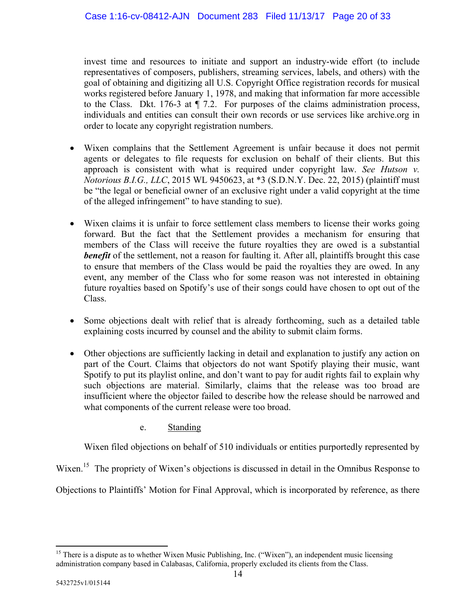invest time and resources to initiate and support an industry-wide effort (to include representatives of composers, publishers, streaming services, labels, and others) with the goal of obtaining and digitizing all U.S. Copyright Office registration records for musical works registered before January 1, 1978, and making that information far more accessible to the Class. Dkt. 176-3 at ¶ 7.2. For purposes of the claims administration process, individuals and entities can consult their own records or use services like archive.org in order to locate any copyright registration numbers.

- Wixen complains that the Settlement Agreement is unfair because it does not permit agents or delegates to file requests for exclusion on behalf of their clients. But this approach is consistent with what is required under copyright law. *See Hutson v. Notorious B.I.G., LLC*, 2015 WL 9450623, at \*3 (S.D.N.Y. Dec. 22, 2015) (plaintiff must be "the legal or beneficial owner of an exclusive right under a valid copyright at the time of the alleged infringement" to have standing to sue).
- Wixen claims it is unfair to force settlement class members to license their works going forward. But the fact that the Settlement provides a mechanism for ensuring that members of the Class will receive the future royalties they are owed is a substantial **benefit** of the settlement, not a reason for faulting it. After all, plaintiffs brought this case to ensure that members of the Class would be paid the royalties they are owed. In any event, any member of the Class who for some reason was not interested in obtaining future royalties based on Spotify's use of their songs could have chosen to opt out of the Class.
- Some objections dealt with relief that is already forthcoming, such as a detailed table explaining costs incurred by counsel and the ability to submit claim forms.
- Other objections are sufficiently lacking in detail and explanation to justify any action on part of the Court. Claims that objectors do not want Spotify playing their music, want Spotify to put its playlist online, and don't want to pay for audit rights fail to explain why such objections are material. Similarly, claims that the release was too broad are insufficient where the objector failed to describe how the release should be narrowed and what components of the current release were too broad.
	- e. Standing

Wixen filed objections on behalf of 510 individuals or entities purportedly represented by

Wixen.<sup>15</sup> The propriety of Wixen's objections is discussed in detail in the Omnibus Response to

Objections to Plaintiffs' Motion for Final Approval, which is incorporated by reference, as there

 $\overline{a}$ <sup>15</sup> There is a dispute as to whether Wixen Music Publishing, Inc. ("Wixen"), an independent music licensing administration company based in Calabasas, California, properly excluded its clients from the Class.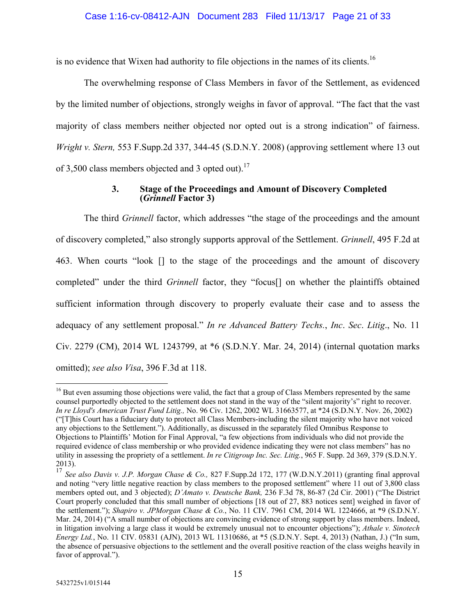is no evidence that Wixen had authority to file objections in the names of its clients.16

The overwhelming response of Class Members in favor of the Settlement, as evidenced by the limited number of objections, strongly weighs in favor of approval. "The fact that the vast majority of class members neither objected nor opted out is a strong indication" of fairness. *Wright v. Stern,* 553 F.Supp.2d 337, 344-45 (S.D.N.Y. 2008) (approving settlement where 13 out of 3,500 class members objected and 3 opted out).<sup>17</sup>

## **3. Stage of the Proceedings and Amount of Discovery Completed (***Grinnell* **Factor 3)**

The third *Grinnell* factor, which addresses "the stage of the proceedings and the amount of discovery completed," also strongly supports approval of the Settlement. *Grinnell*, 495 F.2d at 463. When courts "look [] to the stage of the proceedings and the amount of discovery completed" under the third *Grinnell* factor, they "focus[] on whether the plaintiffs obtained sufficient information through discovery to properly evaluate their case and to assess the adequacy of any settlement proposal." *In re Advanced Battery Techs.*, *Inc*. *Sec*. *Litig*., No. 11 Civ. 2279 (CM), 2014 WL 1243799, at \*6 (S.D.N.Y. Mar. 24, 2014) (internal quotation marks omitted); *see also Visa*, 396 F.3d at 118.

 $\overline{a}$ 

<sup>&</sup>lt;sup>16</sup> But even assuming those objections were valid, the fact that a group of Class Members represented by the same counsel purportedly objected to the settlement does not stand in the way of the "silent majority's" right to recover. *In re Lloyd's American Trust Fund Litig.,* No. 96 Civ. 1262, 2002 WL 31663577, at \*24 (S.D.N.Y. Nov. 26, 2002) ("[T]his Court has a fiduciary duty to protect all Class Members-including the silent majority who have not voiced any objections to the Settlement."). Additionally, as discussed in the separately filed Omnibus Response to Objections to Plaintiffs' Motion for Final Approval, "a few objections from individuals who did not provide the required evidence of class membership or who provided evidence indicating they were not class members" has no utility in assessing the propriety of a settlement. *In re Citigroup Inc. Sec. Litig.*, 965 F. Supp. 2d 369, 379 (S.D.N.Y. 2013).

<sup>17</sup> *See also Davis v. J.P. Morgan Chase & Co.,* 827 F.Supp.2d 172, 177 (W.D.N.Y.2011) (granting final approval and noting "very little negative reaction by class members to the proposed settlement" where 11 out of 3,800 class members opted out, and 3 objected); *D'Amato v. Deutsche Bank,* 236 F.3d 78, 86-87 (2d Cir. 2001) ("The District Court properly concluded that this small number of objections [18 out of 27, 883 notices sent] weighed in favor of the settlement."); *Shapiro v. JPMorgan Chase & Co.*, No. 11 CIV. 7961 CM, 2014 WL 1224666, at \*9 (S.D.N.Y. Mar. 24, 2014) ("A small number of objections are convincing evidence of strong support by class members. Indeed, in litigation involving a large class it would be extremely unusual not to encounter objections"); *Athale v. Sinotech Energy Ltd.*, No. 11 CIV. 05831 (AJN), 2013 WL 11310686, at \*5 (S.D.N.Y. Sept. 4, 2013) (Nathan, J.) ("In sum, the absence of persuasive objections to the settlement and the overall positive reaction of the class weighs heavily in favor of approval.").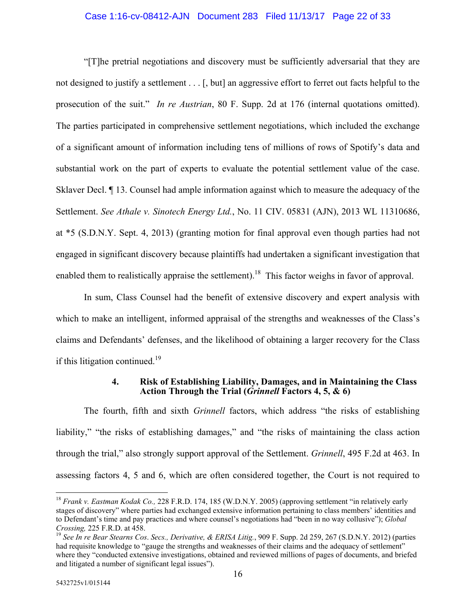### Case 1:16-cv-08412-AJN Document 283 Filed 11/13/17 Page 22 of 33

"[T]he pretrial negotiations and discovery must be sufficiently adversarial that they are not designed to justify a settlement . . . [, but] an aggressive effort to ferret out facts helpful to the prosecution of the suit." *In re Austrian*, 80 F. Supp. 2d at 176 (internal quotations omitted). The parties participated in comprehensive settlement negotiations, which included the exchange of a significant amount of information including tens of millions of rows of Spotify's data and substantial work on the part of experts to evaluate the potential settlement value of the case. Sklaver Decl. ¶ 13. Counsel had ample information against which to measure the adequacy of the Settlement. *See Athale v. Sinotech Energy Ltd.*, No. 11 CIV. 05831 (AJN), 2013 WL 11310686, at \*5 (S.D.N.Y. Sept. 4, 2013) (granting motion for final approval even though parties had not engaged in significant discovery because plaintiffs had undertaken a significant investigation that enabled them to realistically appraise the settlement).<sup>18</sup> This factor weighs in favor of approval.

In sum, Class Counsel had the benefit of extensive discovery and expert analysis with which to make an intelligent, informed appraisal of the strengths and weaknesses of the Class's claims and Defendants' defenses, and the likelihood of obtaining a larger recovery for the Class if this litigation continued. $19$ 

### **4. Risk of Establishing Liability, Damages, and in Maintaining the Class Action Through the Trial (***Grinnell* **Factors 4, 5, & 6)**

The fourth, fifth and sixth *Grinnell* factors, which address "the risks of establishing liability," "the risks of establishing damages," and "the risks of maintaining the class action through the trial," also strongly support approval of the Settlement. *Grinnell*, 495 F.2d at 463. In assessing factors 4, 5 and 6, which are often considered together, the Court is not required to

 $\overline{a}$ <sup>18</sup> *Frank v. Eastman Kodak Co.,* 228 F.R.D. 174, 185 (W.D.N.Y. 2005) (approving settlement "in relatively early stages of discovery" where parties had exchanged extensive information pertaining to class members' identities and to Defendant's time and pay practices and where counsel's negotiations had "been in no way collusive"); *Global Crossing,* 225 F.R.D. at 458.

<sup>19</sup> *See In re Bear Stearns Cos*. *Secs., Derivative, & ERISA Litig.*, 909 F. Supp. 2d 259, 267 (S.D.N.Y. 2012) (parties had requisite knowledge to "gauge the strengths and weaknesses of their claims and the adequacy of settlement" where they "conducted extensive investigations, obtained and reviewed millions of pages of documents, and briefed and litigated a number of significant legal issues").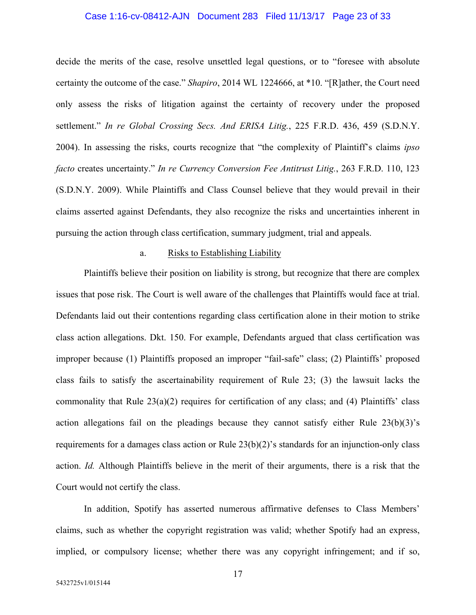### Case 1:16-cv-08412-AJN Document 283 Filed 11/13/17 Page 23 of 33

decide the merits of the case, resolve unsettled legal questions, or to "foresee with absolute certainty the outcome of the case." *Shapiro*, 2014 WL 1224666, at \*10. "[R]ather, the Court need only assess the risks of litigation against the certainty of recovery under the proposed settlement." *In re Global Crossing Secs. And ERISA Litig.*, 225 F.R.D. 436, 459 (S.D.N.Y. 2004). In assessing the risks, courts recognize that "the complexity of Plaintiff's claims *ipso facto* creates uncertainty." *In re Currency Conversion Fee Antitrust Litig.*, 263 F.R.D. 110, 123 (S.D.N.Y. 2009). While Plaintiffs and Class Counsel believe that they would prevail in their claims asserted against Defendants, they also recognize the risks and uncertainties inherent in pursuing the action through class certification, summary judgment, trial and appeals.

### a. Risks to Establishing Liability

Plaintiffs believe their position on liability is strong, but recognize that there are complex issues that pose risk. The Court is well aware of the challenges that Plaintiffs would face at trial. Defendants laid out their contentions regarding class certification alone in their motion to strike class action allegations. Dkt. 150. For example, Defendants argued that class certification was improper because (1) Plaintiffs proposed an improper "fail-safe" class; (2) Plaintiffs' proposed class fails to satisfy the ascertainability requirement of Rule 23; (3) the lawsuit lacks the commonality that Rule 23(a)(2) requires for certification of any class; and (4) Plaintiffs' class action allegations fail on the pleadings because they cannot satisfy either Rule 23(b)(3)'s requirements for a damages class action or Rule 23(b)(2)'s standards for an injunction-only class action. *Id.* Although Plaintiffs believe in the merit of their arguments, there is a risk that the Court would not certify the class.

In addition, Spotify has asserted numerous affirmative defenses to Class Members' claims, such as whether the copyright registration was valid; whether Spotify had an express, implied, or compulsory license; whether there was any copyright infringement; and if so,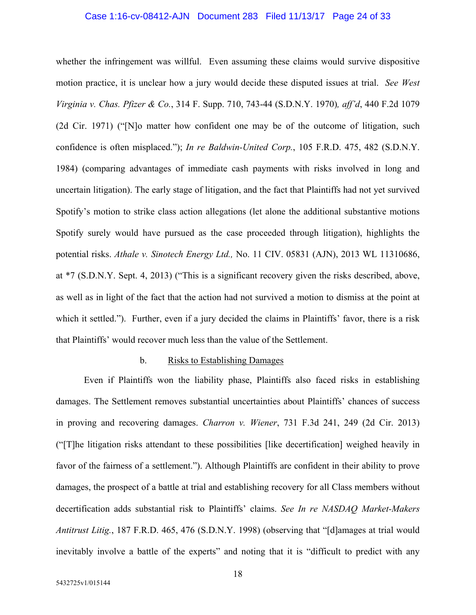### Case 1:16-cv-08412-AJN Document 283 Filed 11/13/17 Page 24 of 33

whether the infringement was willful. Even assuming these claims would survive dispositive motion practice, it is unclear how a jury would decide these disputed issues at trial. *See West Virginia v. Chas. Pfizer & Co.*, 314 F. Supp. 710, 743-44 (S.D.N.Y. 1970)*, aff'd*, 440 F.2d 1079 (2d Cir. 1971) ("[N]o matter how confident one may be of the outcome of litigation, such confidence is often misplaced."); *In re Baldwin-United Corp.*, 105 F.R.D. 475, 482 (S.D.N.Y. 1984) (comparing advantages of immediate cash payments with risks involved in long and uncertain litigation). The early stage of litigation, and the fact that Plaintiffs had not yet survived Spotify's motion to strike class action allegations (let alone the additional substantive motions Spotify surely would have pursued as the case proceeded through litigation), highlights the potential risks. *Athale v. Sinotech Energy Ltd.,* No. 11 CIV. 05831 (AJN), 2013 WL 11310686, at \*7 (S.D.N.Y. Sept. 4, 2013) ("This is a significant recovery given the risks described, above, as well as in light of the fact that the action had not survived a motion to dismiss at the point at which it settled."). Further, even if a jury decided the claims in Plaintiffs' favor, there is a risk that Plaintiffs' would recover much less than the value of the Settlement.

### b. Risks to Establishing Damages

Even if Plaintiffs won the liability phase, Plaintiffs also faced risks in establishing damages. The Settlement removes substantial uncertainties about Plaintiffs' chances of success in proving and recovering damages. *Charron v. Wiener*, 731 F.3d 241, 249 (2d Cir. 2013) ("[T]he litigation risks attendant to these possibilities [like decertification] weighed heavily in favor of the fairness of a settlement."). Although Plaintiffs are confident in their ability to prove damages, the prospect of a battle at trial and establishing recovery for all Class members without decertification adds substantial risk to Plaintiffs' claims. *See In re NASDAQ Market-Makers Antitrust Litig.*, 187 F.R.D. 465, 476 (S.D.N.Y. 1998) (observing that "[d]amages at trial would inevitably involve a battle of the experts" and noting that it is "difficult to predict with any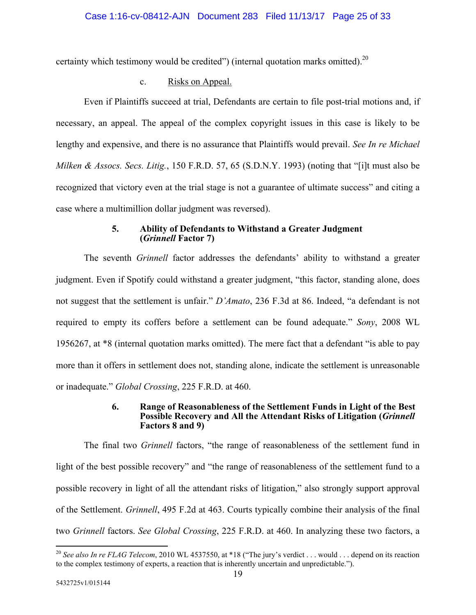certainty which testimony would be credited") (internal quotation marks omitted).<sup>20</sup>

## c. Risks on Appeal.

Even if Plaintiffs succeed at trial, Defendants are certain to file post-trial motions and, if necessary, an appeal. The appeal of the complex copyright issues in this case is likely to be lengthy and expensive, and there is no assurance that Plaintiffs would prevail. *See In re Michael Milken & Assocs. Secs. Litig.*, 150 F.R.D. 57, 65 (S.D.N.Y. 1993) (noting that "[i]t must also be recognized that victory even at the trial stage is not a guarantee of ultimate success" and citing a case where a multimillion dollar judgment was reversed).

### **5. Ability of Defendants to Withstand a Greater Judgment (***Grinnell* **Factor 7)**

The seventh *Grinnell* factor addresses the defendants' ability to withstand a greater judgment. Even if Spotify could withstand a greater judgment, "this factor, standing alone, does not suggest that the settlement is unfair." *D'Amato*, 236 F.3d at 86. Indeed, "a defendant is not required to empty its coffers before a settlement can be found adequate." *Sony*, 2008 WL 1956267, at \*8 (internal quotation marks omitted). The mere fact that a defendant "is able to pay more than it offers in settlement does not, standing alone, indicate the settlement is unreasonable or inadequate." *Global Crossing*, 225 F.R.D. at 460.

### **6. Range of Reasonableness of the Settlement Funds in Light of the Best Possible Recovery and All the Attendant Risks of Litigation (***Grinnell* **Factors 8 and 9)**

The final two *Grinnell* factors, "the range of reasonableness of the settlement fund in light of the best possible recovery" and "the range of reasonableness of the settlement fund to a possible recovery in light of all the attendant risks of litigation," also strongly support approval of the Settlement. *Grinnell*, 495 F.2d at 463. Courts typically combine their analysis of the final two *Grinnell* factors. *See Global Crossing*, 225 F.R.D. at 460. In analyzing these two factors, a

 $\overline{a}$ <sup>20</sup> See also In re FLAG Telecom, 2010 WL 4537550, at \*18 ("The jury's verdict . . . would . . . depend on its reaction to the complex testimony of experts, a reaction that is inherently uncertain and unpredictable.").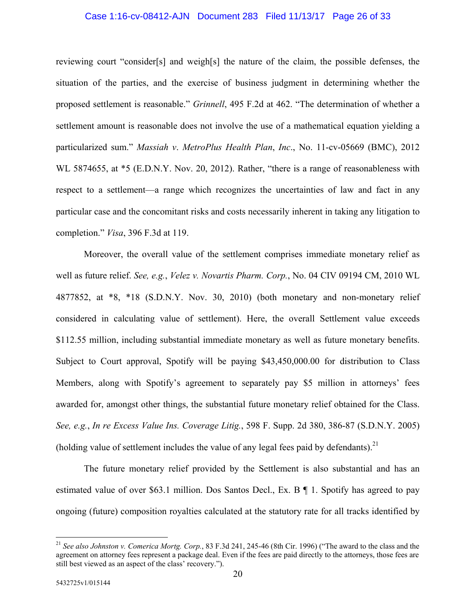### Case 1:16-cv-08412-AJN Document 283 Filed 11/13/17 Page 26 of 33

reviewing court "consider[s] and weigh[s] the nature of the claim, the possible defenses, the situation of the parties, and the exercise of business judgment in determining whether the proposed settlement is reasonable." *Grinnell*, 495 F.2d at 462. "The determination of whether a settlement amount is reasonable does not involve the use of a mathematical equation yielding a particularized sum." *Massiah v*. *MetroPlus Health Plan*, *Inc*., No. 11-cv-05669 (BMC), 2012 WL 5874655, at  $*$ 5 (E.D.N.Y. Nov. 20, 2012). Rather, "there is a range of reasonableness with respect to a settlement—a range which recognizes the uncertainties of law and fact in any particular case and the concomitant risks and costs necessarily inherent in taking any litigation to completion." *Visa*, 396 F.3d at 119.

Moreover, the overall value of the settlement comprises immediate monetary relief as well as future relief. *See, e.g.*, *Velez v. Novartis Pharm. Corp.*, No. 04 CIV 09194 CM, 2010 WL 4877852, at \*8, \*18 (S.D.N.Y. Nov. 30, 2010) (both monetary and non-monetary relief considered in calculating value of settlement). Here, the overall Settlement value exceeds \$112.55 million, including substantial immediate monetary as well as future monetary benefits. Subject to Court approval, Spotify will be paying \$43,450,000.00 for distribution to Class Members, along with Spotify's agreement to separately pay \$5 million in attorneys' fees awarded for, amongst other things, the substantial future monetary relief obtained for the Class. *See, e.g.*, *In re Excess Value Ins. Coverage Litig.*, 598 F. Supp. 2d 380, 386-87 (S.D.N.Y. 2005) (holding value of settlement includes the value of any legal fees paid by defendants).<sup>21</sup>

The future monetary relief provided by the Settlement is also substantial and has an estimated value of over \$63.1 million. Dos Santos Decl., Ex. B ¶ 1. Spotify has agreed to pay ongoing (future) composition royalties calculated at the statutory rate for all tracks identified by

 $\overline{a}$ 

<sup>21</sup> *See also Johnston v. Comerica Mortg. Corp.*, 83 F.3d 241, 245-46 (8th Cir. 1996) ("The award to the class and the agreement on attorney fees represent a package deal. Even if the fees are paid directly to the attorneys, those fees are still best viewed as an aspect of the class' recovery.").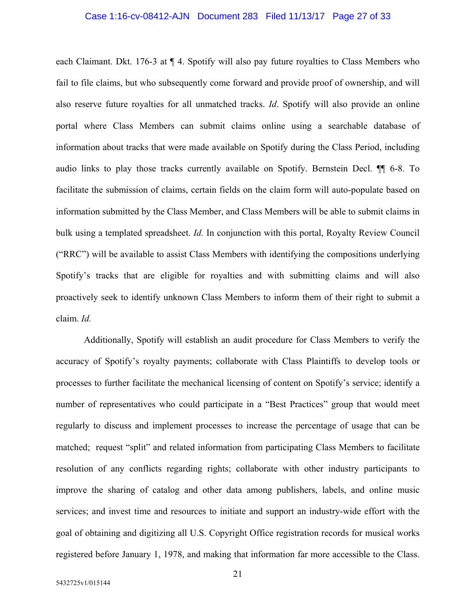### Case 1:16-cv-08412-AJN Document 283 Filed 11/13/17 Page 27 of 33

each Claimant. Dkt. 176-3 at ¶ 4. Spotify will also pay future royalties to Class Members who fail to file claims, but who subsequently come forward and provide proof of ownership, and will also reserve future royalties for all unmatched tracks. *Id*. Spotify will also provide an online portal where Class Members can submit claims online using a searchable database of information about tracks that were made available on Spotify during the Class Period, including audio links to play those tracks currently available on Spotify. Bernstein Decl. ¶¶ 6-8. To facilitate the submission of claims, certain fields on the claim form will auto-populate based on information submitted by the Class Member, and Class Members will be able to submit claims in bulk using a templated spreadsheet. *Id.* In conjunction with this portal, Royalty Review Council ("RRC") will be available to assist Class Members with identifying the compositions underlying Spotify's tracks that are eligible for royalties and with submitting claims and will also proactively seek to identify unknown Class Members to inform them of their right to submit a claim. *Id.* 

Additionally, Spotify will establish an audit procedure for Class Members to verify the accuracy of Spotify's royalty payments; collaborate with Class Plaintiffs to develop tools or processes to further facilitate the mechanical licensing of content on Spotify's service; identify a number of representatives who could participate in a "Best Practices" group that would meet regularly to discuss and implement processes to increase the percentage of usage that can be matched; request "split" and related information from participating Class Members to facilitate resolution of any conflicts regarding rights; collaborate with other industry participants to improve the sharing of catalog and other data among publishers, labels, and online music services; and invest time and resources to initiate and support an industry-wide effort with the goal of obtaining and digitizing all U.S. Copyright Office registration records for musical works registered before January 1, 1978, and making that information far more accessible to the Class.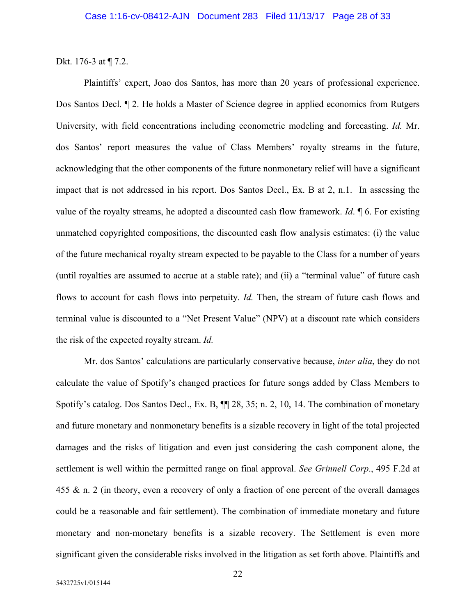Dkt. 176-3 at ¶ 7.2.

Plaintiffs' expert, Joao dos Santos, has more than 20 years of professional experience. Dos Santos Decl. ¶ 2. He holds a Master of Science degree in applied economics from Rutgers University, with field concentrations including econometric modeling and forecasting. *Id.* Mr. dos Santos' report measures the value of Class Members' royalty streams in the future, acknowledging that the other components of the future nonmonetary relief will have a significant impact that is not addressed in his report. Dos Santos Decl., Ex. B at 2, n.1. In assessing the value of the royalty streams, he adopted a discounted cash flow framework. *Id*. ¶ 6. For existing unmatched copyrighted compositions, the discounted cash flow analysis estimates: (i) the value of the future mechanical royalty stream expected to be payable to the Class for a number of years (until royalties are assumed to accrue at a stable rate); and (ii) a "terminal value" of future cash flows to account for cash flows into perpetuity. *Id.* Then, the stream of future cash flows and terminal value is discounted to a "Net Present Value" (NPV) at a discount rate which considers the risk of the expected royalty stream. *Id.* 

Mr. dos Santos' calculations are particularly conservative because, *inter alia*, they do not calculate the value of Spotify's changed practices for future songs added by Class Members to Spotify's catalog. Dos Santos Decl., Ex. B, ¶¶ 28, 35; n. 2, 10, 14. The combination of monetary and future monetary and nonmonetary benefits is a sizable recovery in light of the total projected damages and the risks of litigation and even just considering the cash component alone, the settlement is well within the permitted range on final approval. *See Grinnell Corp*., 495 F.2d at 455 & n. 2 (in theory, even a recovery of only a fraction of one percent of the overall damages could be a reasonable and fair settlement). The combination of immediate monetary and future monetary and non-monetary benefits is a sizable recovery. The Settlement is even more significant given the considerable risks involved in the litigation as set forth above. Plaintiffs and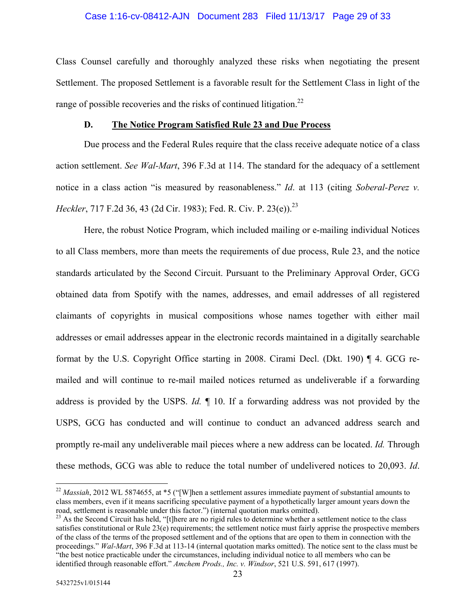### Case 1:16-cv-08412-AJN Document 283 Filed 11/13/17 Page 29 of 33

Class Counsel carefully and thoroughly analyzed these risks when negotiating the present Settlement. The proposed Settlement is a favorable result for the Settlement Class in light of the range of possible recoveries and the risks of continued litigation.<sup>22</sup>

### **D. The Notice Program Satisfied Rule 23 and Due Process**

Due process and the Federal Rules require that the class receive adequate notice of a class action settlement. *See Wal-Mart*, 396 F.3d at 114. The standard for the adequacy of a settlement notice in a class action "is measured by reasonableness." *Id*. at 113 (citing *Soberal-Perez v. Heckler*, 717 F.2d 36, 43 (2d Cir. 1983); Fed. R. Civ. P. 23(e)).<sup>23</sup>

Here, the robust Notice Program, which included mailing or e-mailing individual Notices to all Class members, more than meets the requirements of due process, Rule 23, and the notice standards articulated by the Second Circuit. Pursuant to the Preliminary Approval Order, GCG obtained data from Spotify with the names, addresses, and email addresses of all registered claimants of copyrights in musical compositions whose names together with either mail addresses or email addresses appear in the electronic records maintained in a digitally searchable format by the U.S. Copyright Office starting in 2008. Cirami Decl. (Dkt. 190) ¶ 4. GCG remailed and will continue to re-mail mailed notices returned as undeliverable if a forwarding address is provided by the USPS. *Id.* ¶ 10. If a forwarding address was not provided by the USPS, GCG has conducted and will continue to conduct an advanced address search and promptly re-mail any undeliverable mail pieces where a new address can be located. *Id.* Through these methods, GCG was able to reduce the total number of undelivered notices to 20,093. *Id*.

 $\overline{a}$ 

<sup>22</sup> *Massiah*, 2012 WL 5874655, at \*5 ("[W]hen a settlement assures immediate payment of substantial amounts to class members, even if it means sacrificing speculative payment of a hypothetically larger amount years down the road, settlement is reasonable under this factor.") (internal quotation marks omitted).

<sup>&</sup>lt;sup>23</sup> As the Second Circuit has held, "[t]here are no rigid rules to determine whether a settlement notice to the class satisfies constitutional or Rule 23(e) requirements; the settlement notice must fairly apprise the prospective members of the class of the terms of the proposed settlement and of the options that are open to them in connection with the proceedings." *Wal-Mart*, 396 F.3d at 113-14 (internal quotation marks omitted). The notice sent to the class must be "the best notice practicable under the circumstances, including individual notice to all members who can be identified through reasonable effort." *Amchem Prods., Inc. v. Windsor*, 521 U.S. 591, 617 (1997).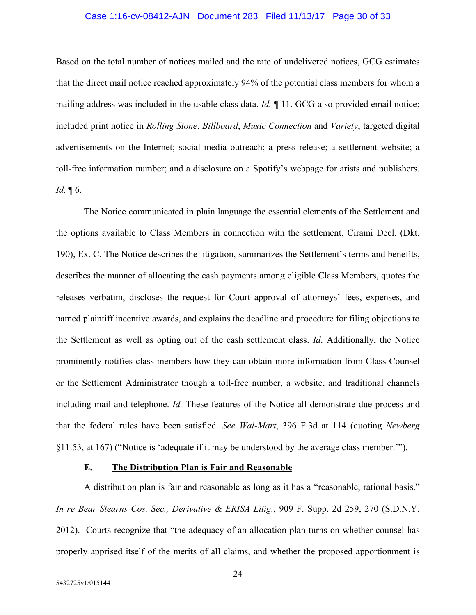### Case 1:16-cv-08412-AJN Document 283 Filed 11/13/17 Page 30 of 33

Based on the total number of notices mailed and the rate of undelivered notices, GCG estimates that the direct mail notice reached approximately 94% of the potential class members for whom a mailing address was included in the usable class data. *Id.* ¶ 11. GCG also provided email notice; included print notice in *Rolling Stone*, *Billboard*, *Music Connection* and *Variety*; targeted digital advertisements on the Internet; social media outreach; a press release; a settlement website; a toll-free information number; and a disclosure on a Spotify's webpage for arists and publishers. *Id.* ¶ 6.

The Notice communicated in plain language the essential elements of the Settlement and the options available to Class Members in connection with the settlement. Cirami Decl. (Dkt. 190), Ex. C. The Notice describes the litigation, summarizes the Settlement's terms and benefits, describes the manner of allocating the cash payments among eligible Class Members, quotes the releases verbatim, discloses the request for Court approval of attorneys' fees, expenses, and named plaintiff incentive awards, and explains the deadline and procedure for filing objections to the Settlement as well as opting out of the cash settlement class. *Id*. Additionally, the Notice prominently notifies class members how they can obtain more information from Class Counsel or the Settlement Administrator though a toll-free number, a website, and traditional channels including mail and telephone. *Id.* These features of the Notice all demonstrate due process and that the federal rules have been satisfied. *See Wal-Mart*, 396 F.3d at 114 (quoting *Newberg*  §11.53, at 167) ("Notice is 'adequate if it may be understood by the average class member.'").

### **E. The Distribution Plan is Fair and Reasonable**

A distribution plan is fair and reasonable as long as it has a "reasonable, rational basis." *In re Bear Stearns Cos. Sec., Derivative & ERISA Litig.*, 909 F. Supp. 2d 259, 270 (S.D.N.Y. 2012). Courts recognize that "the adequacy of an allocation plan turns on whether counsel has properly apprised itself of the merits of all claims, and whether the proposed apportionment is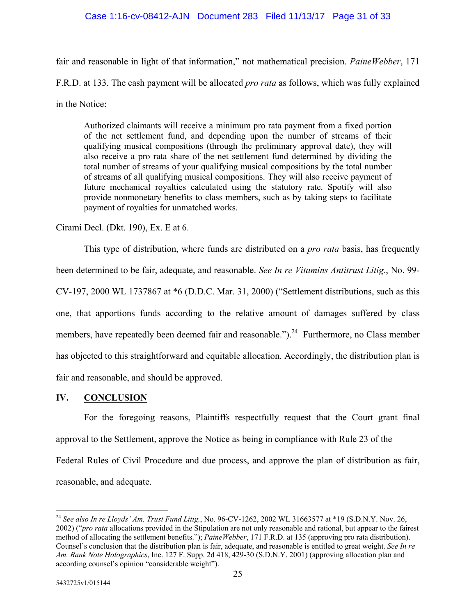## Case 1:16-cv-08412-AJN Document 283 Filed 11/13/17 Page 31 of 33

fair and reasonable in light of that information," not mathematical precision. *PaineWebber*, 171 F.R.D. at 133. The cash payment will be allocated *pro rata* as follows, which was fully explained in the Notice:

Authorized claimants will receive a minimum pro rata payment from a fixed portion of the net settlement fund, and depending upon the number of streams of their qualifying musical compositions (through the preliminary approval date), they will also receive a pro rata share of the net settlement fund determined by dividing the total number of streams of your qualifying musical compositions by the total number of streams of all qualifying musical compositions. They will also receive payment of future mechanical royalties calculated using the statutory rate. Spotify will also provide nonmonetary benefits to class members, such as by taking steps to facilitate payment of royalties for unmatched works.

Cirami Decl. (Dkt. 190), Ex. E at 6.

This type of distribution, where funds are distributed on a *pro rata* basis, has frequently been determined to be fair, adequate, and reasonable. *See In re Vitamins Antitrust Litig.*, No. 99- CV-197, 2000 WL 1737867 at \*6 (D.D.C. Mar. 31, 2000) ("Settlement distributions, such as this one, that apportions funds according to the relative amount of damages suffered by class members, have repeatedly been deemed fair and reasonable.").<sup>24</sup> Furthermore, no Class member has objected to this straightforward and equitable allocation. Accordingly, the distribution plan is fair and reasonable, and should be approved.

## **IV. CONCLUSION**

For the foregoing reasons, Plaintiffs respectfully request that the Court grant final approval to the Settlement, approve the Notice as being in compliance with Rule 23 of the Federal Rules of Civil Procedure and due process, and approve the plan of distribution as fair, reasonable, and adequate.

<sup>24</sup> *See also In re Lloyds' Am. Trust Fund Litig.*, No. 96-CV-1262, 2002 WL 31663577 at \*19 (S.D.N.Y. Nov. 26, 2002) ("*pro rata* allocations provided in the Stipulation are not only reasonable and rational, but appear to the fairest method of allocating the settlement benefits."); *PaineWebber*, 171 F.R.D. at 135 (approving pro rata distribution). Counsel's conclusion that the distribution plan is fair, adequate, and reasonable is entitled to great weight. *See In re Am. Bank Note Holographics*, Inc. 127 F. Supp. 2d 418, 429-30 (S.D.N.Y. 2001) (approving allocation plan and according counsel's opinion "considerable weight").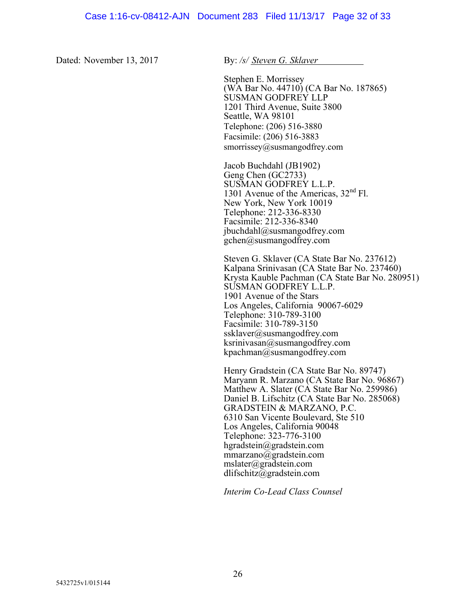Dated: November 13, 2017 By: /s/ Steven G. Sklaver

Stephen E. Morrissey (WA Bar No. 44710) (CA Bar No. 187865) SUSMAN GODFREY LLP 1201 Third Avenue, Suite 3800 Seattle, WA 98101 Telephone: (206) 516-3880 Facsimile: (206) 516-3883 smorrissey@susmangodfrey.com

Jacob Buchdahl (JB1902) Geng Chen (GC2733) SUSMAN GODFREY L.L.P. 1301 Avenue of the Americas, 32nd Fl. New York, New York 10019 Telephone: 212-336-8330 Facsimile: 212-336-8340 jbuchdahl@susmangodfrey.com gchen@susmangodfrey.com

Steven G. Sklaver (CA State Bar No. 237612) Kalpana Srinivasan (CA State Bar No. 237460) Krysta Kauble Pachman (CA State Bar No. 280951) SUSMAN GODFREY L.L.P. 1901 Avenue of the Stars Los Angeles, California 90067-6029 Telephone: 310-789-3100 Facsimile: 310-789-3150 ssklaver@susmangodfrey.com ksrinivasan@susmangodfrey.com kpachman@susmangodfrey.com

Henry Gradstein (CA State Bar No. 89747) Maryann R. Marzano (CA State Bar No. 96867) Matthew A. Slater (CA State Bar No. 259986) Daniel B. Lifschitz (CA State Bar No. 285068) GRADSTEIN & MARZANO, P.C. 6310 San Vicente Boulevard, Ste 510 Los Angeles, California 90048 Telephone: 323-776-3100 hgradstein@gradstein.com mmarzano@gradstein.com mslater@gradstein.com dlifschitz@gradstein.com

*Interim Co-Lead Class Counsel*